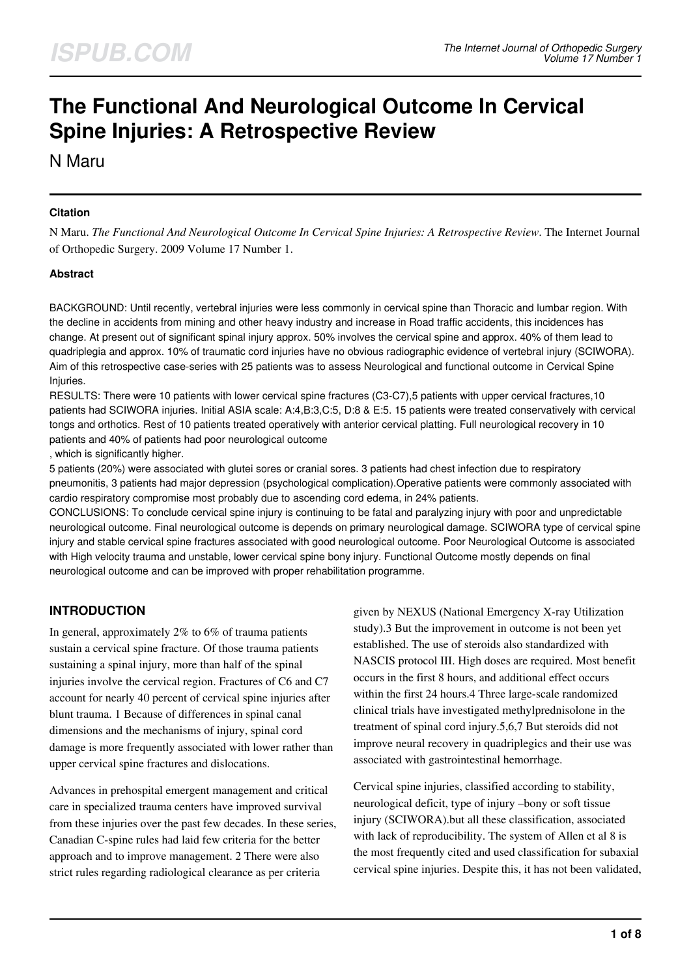# **The Functional And Neurological Outcome In Cervical Spine Injuries: A Retrospective Review**

N Maru

### **Citation**

N Maru. *The Functional And Neurological Outcome In Cervical Spine Injuries: A Retrospective Review*. The Internet Journal of Orthopedic Surgery. 2009 Volume 17 Number 1.

#### **Abstract**

BACKGROUND: Until recently, vertebral injuries were less commonly in cervical spine than Thoracic and lumbar region. With the decline in accidents from mining and other heavy industry and increase in Road traffic accidents, this incidences has change. At present out of significant spinal injury approx. 50% involves the cervical spine and approx. 40% of them lead to quadriplegia and approx. 10% of traumatic cord injuries have no obvious radiographic evidence of vertebral injury (SCIWORA). Aim of this retrospective case-series with 25 patients was to assess Neurological and functional outcome in Cervical Spine **Injuries** 

RESULTS: There were 10 patients with lower cervical spine fractures (C3-C7),5 patients with upper cervical fractures,10 patients had SCIWORA injuries. Initial ASIA scale: A:4,B:3,C:5, D:8 & E:5. 15 patients were treated conservatively with cervical tongs and orthotics. Rest of 10 patients treated operatively with anterior cervical platting. Full neurological recovery in 10 patients and 40% of patients had poor neurological outcome

, which is significantly higher.

5 patients (20%) were associated with glutei sores or cranial sores. 3 patients had chest infection due to respiratory pneumonitis, 3 patients had major depression (psychological complication).Operative patients were commonly associated with cardio respiratory compromise most probably due to ascending cord edema, in 24% patients.

CONCLUSIONS: To conclude cervical spine injury is continuing to be fatal and paralyzing injury with poor and unpredictable neurological outcome. Final neurological outcome is depends on primary neurological damage. SCIWORA type of cervical spine injury and stable cervical spine fractures associated with good neurological outcome. Poor Neurological Outcome is associated with High velocity trauma and unstable, lower cervical spine bony injury. Functional Outcome mostly depends on final neurological outcome and can be improved with proper rehabilitation programme.

# **INTRODUCTION**

In general, approximately 2% to 6% of trauma patients sustain a cervical spine fracture. Of those trauma patients sustaining a spinal injury, more than half of the spinal injuries involve the cervical region. Fractures of C6 and C7 account for nearly 40 percent of cervical spine injuries after blunt trauma. 1 Because of differences in spinal canal dimensions and the mechanisms of injury, spinal cord damage is more frequently associated with lower rather than upper cervical spine fractures and dislocations.

Advances in prehospital emergent management and critical care in specialized trauma centers have improved survival from these injuries over the past few decades. In these series, Canadian C-spine rules had laid few criteria for the better approach and to improve management. 2 There were also strict rules regarding radiological clearance as per criteria

given by NEXUS (National Emergency X-ray Utilization study).3 But the improvement in outcome is not been yet established. The use of steroids also standardized with NASCIS protocol III. High doses are required. Most benefit occurs in the first 8 hours, and additional effect occurs within the first 24 hours.4 Three large-scale randomized clinical trials have investigated methylprednisolone in the treatment of spinal cord injury.5,6,7 But steroids did not improve neural recovery in quadriplegics and their use was associated with gastrointestinal hemorrhage.

Cervical spine injuries, classified according to stability, neurological deficit, type of injury –bony or soft tissue injury (SCIWORA).but all these classification, associated with lack of reproducibility. The system of Allen et al 8 is the most frequently cited and used classification for subaxial cervical spine injuries. Despite this, it has not been validated,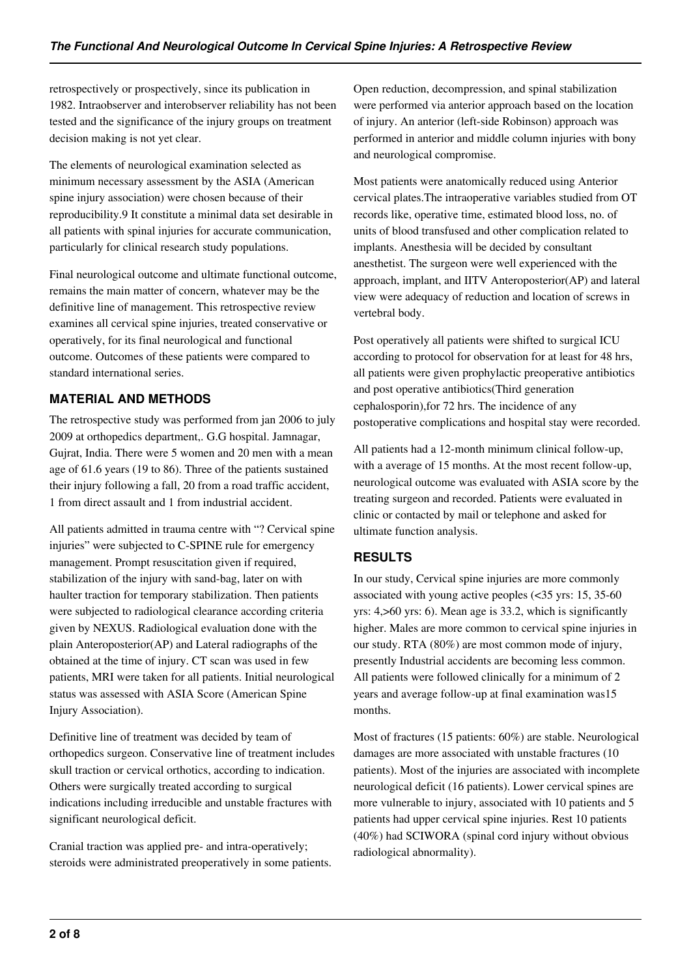retrospectively or prospectively, since its publication in 1982. Intraobserver and interobserver reliability has not been tested and the significance of the injury groups on treatment decision making is not yet clear.

The elements of neurological examination selected as minimum necessary assessment by the ASIA (American spine injury association) were chosen because of their reproducibility.9 It constitute a minimal data set desirable in all patients with spinal injuries for accurate communication, particularly for clinical research study populations.

Final neurological outcome and ultimate functional outcome, remains the main matter of concern, whatever may be the definitive line of management. This retrospective review examines all cervical spine injuries, treated conservative or operatively, for its final neurological and functional outcome. Outcomes of these patients were compared to standard international series.

## **MATERIAL AND METHODS**

The retrospective study was performed from jan 2006 to july 2009 at orthopedics department,. G.G hospital. Jamnagar, Gujrat, India. There were 5 women and 20 men with a mean age of 61.6 years (19 to 86). Three of the patients sustained their injury following a fall, 20 from a road traffic accident, 1 from direct assault and 1 from industrial accident.

All patients admitted in trauma centre with "? Cervical spine injuries" were subjected to C-SPINE rule for emergency management. Prompt resuscitation given if required, stabilization of the injury with sand-bag, later on with haulter traction for temporary stabilization. Then patients were subjected to radiological clearance according criteria given by NEXUS. Radiological evaluation done with the plain Anteroposterior(AP) and Lateral radiographs of the obtained at the time of injury. CT scan was used in few patients, MRI were taken for all patients. Initial neurological status was assessed with ASIA Score (American Spine Injury Association).

Definitive line of treatment was decided by team of orthopedics surgeon. Conservative line of treatment includes skull traction or cervical orthotics, according to indication. Others were surgically treated according to surgical indications including irreducible and unstable fractures with significant neurological deficit.

Cranial traction was applied pre- and intra-operatively; steroids were administrated preoperatively in some patients. Open reduction, decompression, and spinal stabilization were performed via anterior approach based on the location of injury. An anterior (left-side Robinson) approach was performed in anterior and middle column injuries with bony and neurological compromise.

Most patients were anatomically reduced using Anterior cervical plates.The intraoperative variables studied from OT records like, operative time, estimated blood loss, no. of units of blood transfused and other complication related to implants. Anesthesia will be decided by consultant anesthetist. The surgeon were well experienced with the approach, implant, and IITV Anteroposterior(AP) and lateral view were adequacy of reduction and location of screws in vertebral body.

Post operatively all patients were shifted to surgical ICU according to protocol for observation for at least for 48 hrs, all patients were given prophylactic preoperative antibiotics and post operative antibiotics(Third generation cephalosporin),for 72 hrs. The incidence of any postoperative complications and hospital stay were recorded.

All patients had a 12-month minimum clinical follow-up, with a average of 15 months. At the most recent follow-up, neurological outcome was evaluated with ASIA score by the treating surgeon and recorded. Patients were evaluated in clinic or contacted by mail or telephone and asked for ultimate function analysis.

# **RESULTS**

In our study, Cervical spine injuries are more commonly associated with young active peoples (<35 yrs: 15, 35-60 yrs: 4,>60 yrs: 6). Mean age is 33.2, which is significantly higher. Males are more common to cervical spine injuries in our study. RTA (80%) are most common mode of injury, presently Industrial accidents are becoming less common. All patients were followed clinically for a minimum of 2 years and average follow-up at final examination was15 months.

Most of fractures (15 patients: 60%) are stable. Neurological damages are more associated with unstable fractures (10 patients). Most of the injuries are associated with incomplete neurological deficit (16 patients). Lower cervical spines are more vulnerable to injury, associated with 10 patients and 5 patients had upper cervical spine injuries. Rest 10 patients (40%) had SCIWORA (spinal cord injury without obvious radiological abnormality).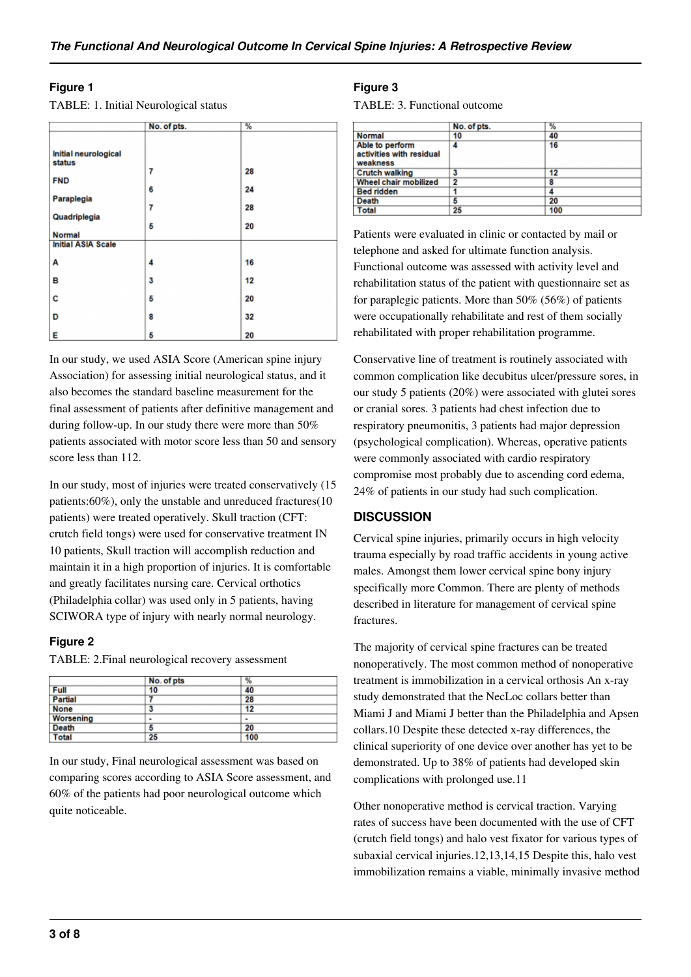#### **Figure 1**

| TABLE: 1. Initial Neurological status |  |  |  |
|---------------------------------------|--|--|--|
|                                       |  |  |  |

|                                            | No. of pts. | %        |  |
|--------------------------------------------|-------------|----------|--|
| Initial neurological<br>status             |             |          |  |
| <b>FND</b>                                 | 7<br>6      | 28<br>24 |  |
| Paraplegia<br>Quadriplegia                 | 7           | 28       |  |
| <b>Normal</b><br><b>Initial ASIA Scale</b> | 5           | 20       |  |
| А                                          | 4           | 16       |  |
| в                                          | 3           | 12       |  |
| C                                          | 5           | 20       |  |
| D                                          | 8           | 32       |  |
| E                                          | 5           | 20       |  |

In our study, we used ASIA Score (American spine injury Association) for assessing initial neurological status, and it also becomes the standard baseline measurement for the final assessment of patients after definitive management and during follow-up. In our study there were more than 50% patients associated with motor score less than 50 and sensory score less than 112.

In our study, most of injuries were treated conservatively (15 patients:60%), only the unstable and unreduced fractures(10 patients) were treated operatively. Skull traction (CFT: crutch field tongs) were used for conservative treatment IN 10 patients, Skull traction will accomplish reduction and maintain it in a high proportion of injuries. It is comfortable and greatly facilitates nursing care. Cervical orthotics (Philadelphia collar) was used only in 5 patients, having SCIWORA type of injury with nearly normal neurology.

## **Figure 2**

TABLE: 2.Final neurological recovery assessment

|                  | No. of pts | %            |  |
|------------------|------------|--------------|--|
| <b>Full</b>      | 10         | 40           |  |
| <b>Partial</b>   |            | 28           |  |
| <b>None</b>      | 3          | 12           |  |
| <b>Worsening</b> | ٠          | $\mathbf{r}$ |  |
| <b>Death</b>     | 5          | 20           |  |
| <b>Total</b>     | 25         | 100          |  |

In our study, Final neurological assessment was based on comparing scores according to ASIA Score assessment, and 60% of the patients had poor neurological outcome which quite noticeable.

## **Figure 3**

TABLE: 3. Functional outcome

|                                                         | No. of pts.    | %   |  |
|---------------------------------------------------------|----------------|-----|--|
| <b>Normal</b>                                           | 10             | 40  |  |
| Able to perform<br>activities with residual<br>weakness | 4              | 16  |  |
| <b>Crutch walking</b>                                   | 3              | 12  |  |
| <b>Wheel chair mobilized</b>                            | $\overline{2}$ | 8   |  |
| <b>Bed ridden</b>                                       |                |     |  |
| <b>Death</b>                                            | 5              | 20  |  |
| <b>Total</b>                                            | 25             | 100 |  |

Patients were evaluated in clinic or contacted by mail or telephone and asked for ultimate function analysis. Functional outcome was assessed with activity level and rehabilitation status of the patient with questionnaire set as for paraplegic patients. More than 50% (56%) of patients were occupationally rehabilitate and rest of them socially rehabilitated with proper rehabilitation programme.

Conservative line of treatment is routinely associated with common complication like decubitus ulcer/pressure sores, in our study 5 patients (20%) were associated with glutei sores or cranial sores. 3 patients had chest infection due to respiratory pneumonitis, 3 patients had major depression (psychological complication). Whereas, operative patients were commonly associated with cardio respiratory compromise most probably due to ascending cord edema, 24% of patients in our study had such complication.

## **DISCUSSION**

Cervical spine injuries, primarily occurs in high velocity trauma especially by road traffic accidents in young active males. Amongst them lower cervical spine bony injury specifically more Common. There are plenty of methods described in literature for management of cervical spine fractures.

The majority of cervical spine fractures can be treated nonoperatively. The most common method of nonoperative treatment is immobilization in a cervical orthosis An x-ray study demonstrated that the NecLoc collars better than Miami J and Miami J better than the Philadelphia and Apsen collars.10 Despite these detected x-ray differences, the clinical superiority of one device over another has yet to be demonstrated. Up to 38% of patients had developed skin complications with prolonged use.11

Other nonoperative method is cervical traction. Varying rates of success have been documented with the use of CFT (crutch field tongs) and halo vest fixator for various types of subaxial cervical injuries.12,13,14,15 Despite this, halo vest immobilization remains a viable, minimally invasive method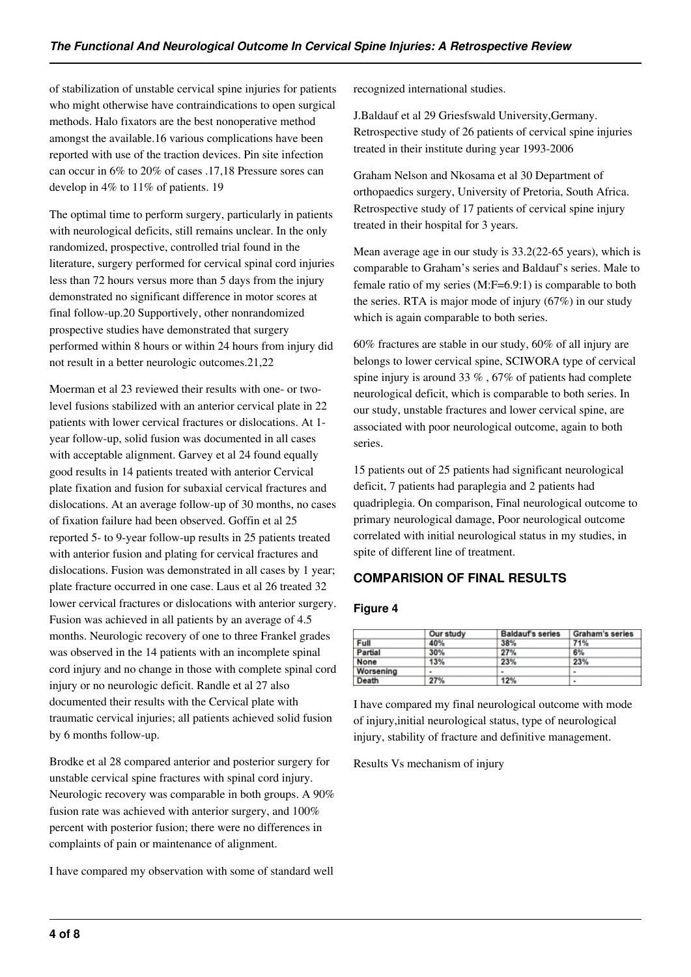of stabilization of unstable cervical spine injuries for patients who might otherwise have contraindications to open surgical methods. Halo fixators are the best nonoperative method amongst the available.16 various complications have been reported with use of the traction devices. Pin site infection can occur in 6% to 20% of cases .17,18 Pressure sores can develop in 4% to 11% of patients. 19

The optimal time to perform surgery, particularly in patients with neurological deficits, still remains unclear. In the only randomized, prospective, controlled trial found in the literature, surgery performed for cervical spinal cord injuries less than 72 hours versus more than 5 days from the injury demonstrated no significant difference in motor scores at final follow-up.20 Supportively, other nonrandomized prospective studies have demonstrated that surgery performed within 8 hours or within 24 hours from injury did not result in a better neurologic outcomes.21,22

Moerman et al 23 reviewed their results with one- or twolevel fusions stabilized with an anterior cervical plate in 22 patients with lower cervical fractures or dislocations. At 1 year follow-up, solid fusion was documented in all cases with acceptable alignment. Garvey et al 24 found equally good results in 14 patients treated with anterior Cervical plate fixation and fusion for subaxial cervical fractures and dislocations. At an average follow-up of 30 months, no cases of fixation failure had been observed. Goffin et al 25 reported 5- to 9-year follow-up results in 25 patients treated with anterior fusion and plating for cervical fractures and dislocations. Fusion was demonstrated in all cases by 1 year; plate fracture occurred in one case. Laus et al 26 treated 32 lower cervical fractures or dislocations with anterior surgery. Fusion was achieved in all patients by an average of 4.5 months. Neurologic recovery of one to three Frankel grades was observed in the 14 patients with an incomplete spinal cord injury and no change in those with complete spinal cord injury or no neurologic deficit. Randle et al 27 also documented their results with the Cervical plate with traumatic cervical injuries; all patients achieved solid fusion by 6 months follow-up.

Brodke et al 28 compared anterior and posterior surgery for unstable cervical spine fractures with spinal cord injury. Neurologic recovery was comparable in both groups. A 90% fusion rate was achieved with anterior surgery, and 100% percent with posterior fusion; there were no differences in complaints of pain or maintenance of alignment.

I have compared my observation with some of standard well

recognized international studies.

J.Baldauf et al 29 Griesfswald University,Germany. Retrospective study of 26 patients of cervical spine injuries treated in their institute during year 1993-2006

Graham Nelson and Nkosama et al 30 Department of orthopaedics surgery, University of Pretoria, South Africa. Retrospective study of 17 patients of cervical spine injury treated in their hospital for 3 years.

Mean average age in our study is 33.2(22-65 years), which is comparable to Graham's series and Baldauf's series. Male to female ratio of my series (M:F=6.9:1) is comparable to both the series. RTA is major mode of injury (67%) in our study which is again comparable to both series.

60% fractures are stable in our study, 60% of all injury are belongs to lower cervical spine, SCIWORA type of cervical spine injury is around 33  $\%$  , 67 $\%$  of patients had complete neurological deficit, which is comparable to both series. In our study, unstable fractures and lower cervical spine, are associated with poor neurological outcome, again to both series.

15 patients out of 25 patients had significant neurological deficit, 7 patients had paraplegia and 2 patients had quadriplegia. On comparison, Final neurological outcome to primary neurological damage, Poor neurological outcome correlated with initial neurological status in my studies, in spite of different line of treatment.

# **COMPARISION OF FINAL RESULTS**

## **Figure 4**

|             | Our study      | <b>Baldauf's series</b> | <b>Graham's series</b> |
|-------------|----------------|-------------------------|------------------------|
| <b>Full</b> | 40%            | 38%                     | 71%                    |
| Partial     | 30%            | 27%                     | 6%                     |
| None        | 13%            | 23%                     | 23%                    |
| Worsening   | $\blacksquare$ | ٠                       | $\blacksquare$         |
| Death       | 27%            | 12%                     | $\blacksquare$         |

I have compared my final neurological outcome with mode of injury,initial neurological status, type of neurological injury, stability of fracture and definitive management.

Results Vs mechanism of injury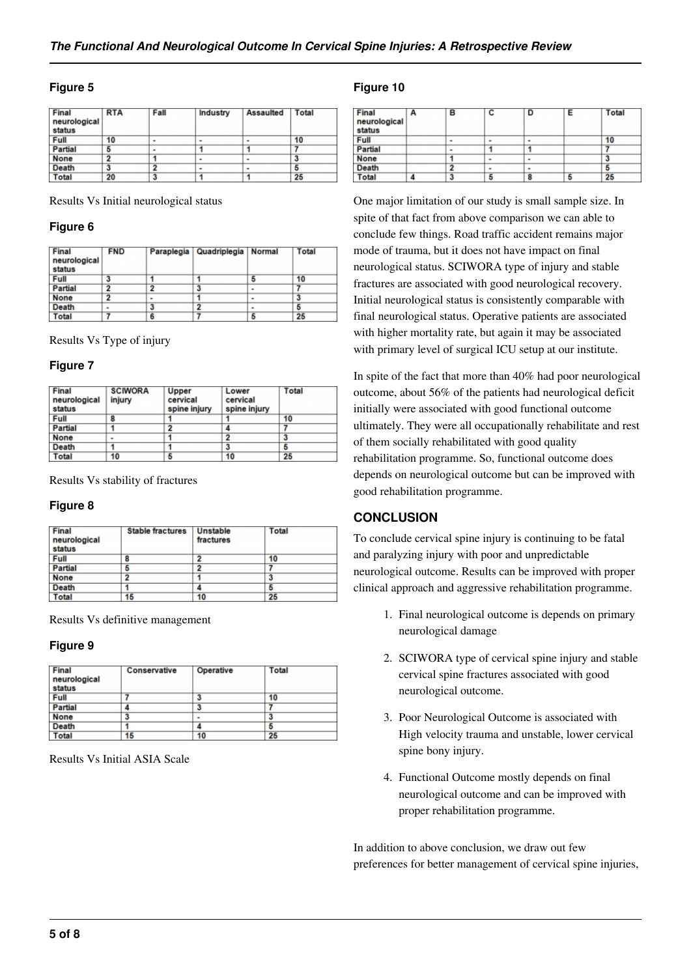#### **Figure 5**

| Final<br>neurological<br>status | <b>RTA</b> | Fall | <b>Industry</b> | <b>Assaulted</b> | Total |
|---------------------------------|------------|------|-----------------|------------------|-------|
| <b>Full</b>                     | 10         | ٠    | -               | ٠                | 10    |
| <b>Partial</b>                  | 5          | ۰    |                 |                  |       |
| <b>None</b>                     | ິ          |      | ۰               | ۰                | 3     |
| <b>Death</b>                    |            | 2    | ۰               | ۰                | 5     |
| <b>Total</b>                    | 20         |      |                 |                  | 25    |

Results Vs Initial neurological status

#### **Figure 6**

| Final<br>neurological<br>status | <b>FND</b>     |   | Paraplegia   Quadriplegia   Normal |   | Total |
|---------------------------------|----------------|---|------------------------------------|---|-------|
| <b>Full</b>                     | 3              |   |                                    |   | 10    |
| <b>Partial</b>                  | າ              | ຶ | 3                                  |   |       |
| <b>None</b>                     | פ              | ۰ |                                    | ۰ |       |
| <b>Death</b>                    | $\blacksquare$ |   |                                    |   |       |
| <b>Total</b>                    |                | 6 |                                    |   | 25    |

Results Vs Type of injury

#### **Figure 7**

| Final<br>neurological<br>status | <b>SCIWORA</b><br>injury | <b>Upper</b><br>cervical<br>spine injury | Lower<br>cervical<br>spine injury | <b>Total</b> |  |
|---------------------------------|--------------------------|------------------------------------------|-----------------------------------|--------------|--|
| Full                            | 8                        |                                          |                                   | 10           |  |
| <b>Partial</b>                  |                          |                                          |                                   |              |  |
| <b>None</b>                     | $\blacksquare$           |                                          | 2                                 | 3            |  |
| <b>Death</b>                    |                          |                                          | 3                                 | 5            |  |
| <b>Total</b>                    | 10                       |                                          | 10                                | 25           |  |

Results Vs stability of fractures

#### **Figure 8**

| Final<br>neurological<br>status | <b>Stable fractures</b> | <b>Unstable</b><br>fractures | <b>Total</b> |  |
|---------------------------------|-------------------------|------------------------------|--------------|--|
| Full                            | 8                       | o                            | 10           |  |
| <b>Partial</b>                  | 5                       | າ                            |              |  |
| <b>None</b>                     | 2                       |                              | 3            |  |
| Death                           |                         |                              | 5            |  |
| <b>Total</b>                    | 15                      | 10                           | 25           |  |

Results Vs definitive management

#### **Figure 9**

| Final<br>neurological<br>status | Conservative | Operative | <b>Total</b> |
|---------------------------------|--------------|-----------|--------------|
| Full                            |              | 3         | 10           |
| <b>Partial</b>                  |              | 3         |              |
| <b>None</b>                     | 3            |           | 3            |
| Death                           |              |           | ь            |
| <b>Total</b>                    | 15           | 10        | 25           |

Results Vs Initial ASIA Scale

#### **Figure 10**

| Final<br>neurological<br>status | в  | с | D | Е | <b>Total</b> |
|---------------------------------|----|---|---|---|--------------|
| <b>Full</b>                     | ٠  | ٠ | ٠ |   | 10           |
| <b>Partial</b>                  | ۰  |   |   |   |              |
| <b>None</b>                     |    | ۰ | ٠ |   | 3            |
| <b>Death</b>                    | כי | ۰ | ٠ |   | 5            |
| <b>Total</b>                    | 3  | 5 | 8 | 5 | 25           |

One major limitation of our study is small sample size. In spite of that fact from above comparison we can able to conclude few things. Road traffic accident remains major mode of trauma, but it does not have impact on final neurological status. SCIWORA type of injury and stable fractures are associated with good neurological recovery. Initial neurological status is consistently comparable with final neurological status. Operative patients are associated with higher mortality rate, but again it may be associated with primary level of surgical ICU setup at our institute.

In spite of the fact that more than 40% had poor neurological outcome, about 56% of the patients had neurological deficit initially were associated with good functional outcome ultimately. They were all occupationally rehabilitate and rest of them socially rehabilitated with good quality rehabilitation programme. So, functional outcome does depends on neurological outcome but can be improved with good rehabilitation programme.

## **CONCLUSION**

To conclude cervical spine injury is continuing to be fatal and paralyzing injury with poor and unpredictable neurological outcome. Results can be improved with proper clinical approach and aggressive rehabilitation programme.

- 1. Final neurological outcome is depends on primary neurological damage
- 2. SCIWORA type of cervical spine injury and stable cervical spine fractures associated with good neurological outcome.
- 3. Poor Neurological Outcome is associated with High velocity trauma and unstable, lower cervical spine bony injury.
- 4. Functional Outcome mostly depends on final neurological outcome and can be improved with proper rehabilitation programme.

In addition to above conclusion, we draw out few preferences for better management of cervical spine injuries,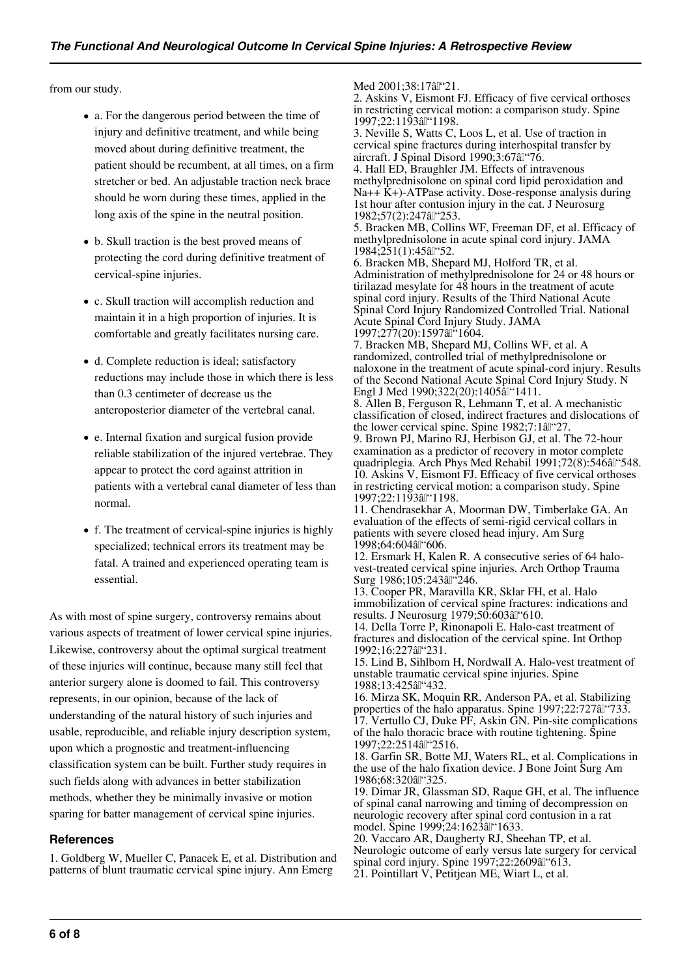from our study.

- a. For the dangerous period between the time of injury and definitive treatment, and while being moved about during definitive treatment, the patient should be recumbent, at all times, on a firm stretcher or bed. An adjustable traction neck brace should be worn during these times, applied in the long axis of the spine in the neutral position.
- b. Skull traction is the best proved means of protecting the cord during definitive treatment of cervical-spine injuries.
- c. Skull traction will accomplish reduction and maintain it in a high proportion of injuries. It is comfortable and greatly facilitates nursing care.
- d. Complete reduction is ideal; satisfactory reductions may include those in which there is less than 0.3 centimeter of decrease us the anteroposterior diameter of the vertebral canal.
- e. Internal fixation and surgical fusion provide reliable stabilization of the injured vertebrae. They appear to protect the cord against attrition in patients with a vertebral canal diameter of less than normal.
- f. The treatment of cervical-spine injuries is highly specialized; technical errors its treatment may be fatal. A trained and experienced operating team is essential.

As with most of spine surgery, controversy remains about various aspects of treatment of lower cervical spine injuries. Likewise, controversy about the optimal surgical treatment of these injuries will continue, because many still feel that anterior surgery alone is doomed to fail. This controversy represents, in our opinion, because of the lack of understanding of the natural history of such injuries and usable, reproducible, and reliable injury description system, upon which a prognostic and treatment-influencing classification system can be built. Further study requires in such fields along with advances in better stabilization methods, whether they be minimally invasive or motion sparing for batter management of cervical spine injuries.

#### **References**

1. Goldberg W, Mueller C, Panacek E, et al. Distribution and patterns of blunt traumatic cervical spine injury. Ann Emerg

Med 2001;38:17 a "21.

2. Askins V, Eismont FJ. Efficacy of five cervical orthoses in restricting cervical motion: a comparison study. Spine 1997;22:1193âl"1198.

3. Neville S, Watts C, Loos L, et al. Use of traction in cervical spine fractures during interhospital transfer by aircraft. J Spinal Disord 1990;3:67 a "76.

4. Hall ED, Braughler JM. Effects of intravenous methylprednisolone on spinal cord lipid peroxidation and Na++  $\dot{K}$ +)-ATPase activity. Dose-response analysis during 1st hour after contusion injury in the cat. J Neurosurg 1982;57(2):247 al "253.

5. Bracken MB, Collins WF, Freeman DF, et al. Efficacy of methylprednisolone in acute spinal cord injury. JAMA  $1984:251(1):45$ âl"52.

6. Bracken MB, Shepard MJ, Holford TR, et al. Administration of methylprednisolone for 24 or 48 hours or tirilazad mesylate for 48 hours in the treatment of acute spinal cord injury. Results of the Third National Acute Spinal Cord Injury Randomized Controlled Trial. National Acute Spinal Cord Injury Study. JAMA 1997;277(20):1597âl<sup>"</sup>1604.

7. Bracken MB, Shepard MJ, Collins WF, et al. A randomized, controlled trial of methylprednisolone or naloxone in the treatment of acute spinal-cord injury. Results of the Second National Acute Spinal Cord Injury Study. N Engl J Med 1990;322(20):1405all '1411.

8. Allen B, Ferguson R, Lehmann T, et al. A mechanistic classification of closed, indirect fractures and dislocations of the lower cervical spine. Spine 1982;7:1âl"27.

9. Brown PJ, Marino RJ, Herbison GJ, et al. The 72-hour examination as a predictor of recovery in motor complete quadriplegia. Arch Phys Med Rehabil 1991;72(8):546 al "548. 10. Askins V, Eismont FJ. Efficacy of five cervical orthoses in restricting cervical motion: a comparison study. Spine 1997;22:1193âl"1198.

11. Chendrasekhar A, Moorman DW, Timberlake GA. An evaluation of the effects of semi-rigid cervical collars in patients with severe closed head injury. Am Surg 1998;64:604 a "606.

12. Ersmark H, Kalen R. A consecutive series of 64 halovest-treated cervical spine injuries. Arch Orthop Trauma Surg 1986;105:243âl<sup>"</sup>246.

13. Cooper PR, Maravilla KR, Sklar FH, et al. Halo immobilization of cervical spine fractures: indications and results. J Neurosurg 1979;50:603 $\hat{a}$  "610.

14. Della Torre P, Rinonapoli E. Halo-cast treatment of fractures and dislocation of the cervical spine. Int Orthop 1992;16:227 a "231.

15. Lind B, Sihlbom H, Nordwall A. Halo-vest treatment of unstable traumatic cervical spine injuries. Spine 1988;13:425 a "432.

16. Mirza SK, Moquin RR, Anderson PA, et al. Stabilizing properties of the halo apparatus. Spine 1997;22:727 al "733. 17. Vertullo CJ, Duke PF, Askin GN. Pin-site complications of the halo thoracic brace with routine tightening. Spine 1997;22:2514 a "2516.

18. Garfin SR, Botte MJ, Waters RL, et al. Complications in the use of the halo fixation device. J Bone Joint Surg Am 1986;68:320âl"325.

19. Dimar JR, Glassman SD, Raque GH, et al. The influence of spinal canal narrowing and timing of decompression on neurologic recovery after spinal cord contusion in a rat model. Spine 1999;24:1623 al "1633.

20. Vaccaro AR, Daugherty RJ, Sheehan TP, et al. Neurologic outcome of early versus late surgery for cervical spinal cord injury. Spine  $1997;22:2609$ all" $613$ . 21. Pointillart V, Petitjean ME, Wiart L, et al.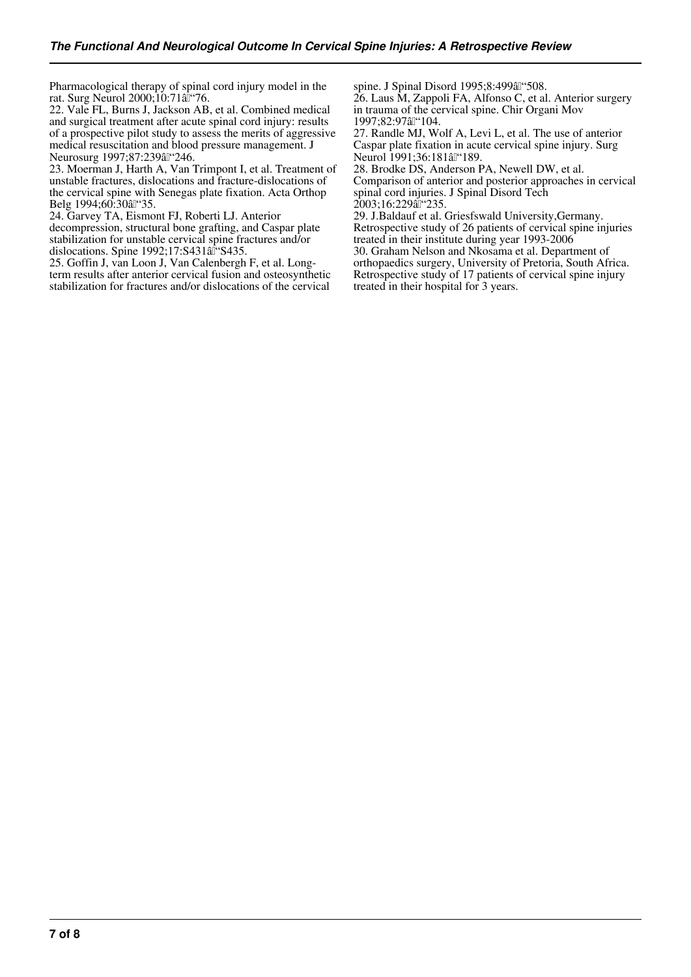Pharmacological therapy of spinal cord injury model in the rat. Surg Neurol 2000;10:71al<sup>\*\*</sup>76.

22. Vale FL, Burns J, Jackson AB, et al. Combined medical and surgical treatment after acute spinal cord injury: results of a prospective pilot study to assess the merits of aggressive medical resuscitation and blood pressure management. J Neurosurg 1997;87:239 al "246.

23. Moerman J, Harth A, Van Trimpont I, et al. Treatment of unstable fractures, dislocations and fracture-dislocations of the cervical spine with Senegas plate fixation. Acta Orthop Belg 1994;60:30 â "35.

24. Garvey TA, Eismont FJ, Roberti LJ. Anterior decompression, structural bone grafting, and Caspar plate stabilization for unstable cervical spine fractures and/or dislocations. Spine  $1992;17:$ S431 $a\hat{I}$  'S435.

25. Goffin J, van Loon J, Van Calenbergh F, et al. Longterm results after anterior cervical fusion and osteosynthetic stabilization for fractures and/or dislocations of the cervical

spine. J Spinal Disord 1995;8:499 al "508.

26. Laus M, Zappoli FA, Alfonso C, et al. Anterior surgery in trauma of the cervical spine. Chir Organi Mov 1997;82:97 a "104.

27. Randle MJ, Wolf A, Levi L, et al. The use of anterior Caspar plate fixation in acute cervical spine injury. Surg Neurol 1991;36:181 al "189.

28. Brodke DS, Anderson PA, Newell DW, et al. Comparison of anterior and posterior approaches in cervical spinal cord injuries. J Spinal Disord Tech 2003;16:229all<sup>"</sup>235.

29. J.Baldauf et al. Griesfswald University,Germany. Retrospective study of 26 patients of cervical spine injuries treated in their institute during year 1993-2006 30. Graham Nelson and Nkosama et al. Department of orthopaedics surgery, University of Pretoria, South Africa.

Retrospective study of 17 patients of cervical spine injury treated in their hospital for 3 years.